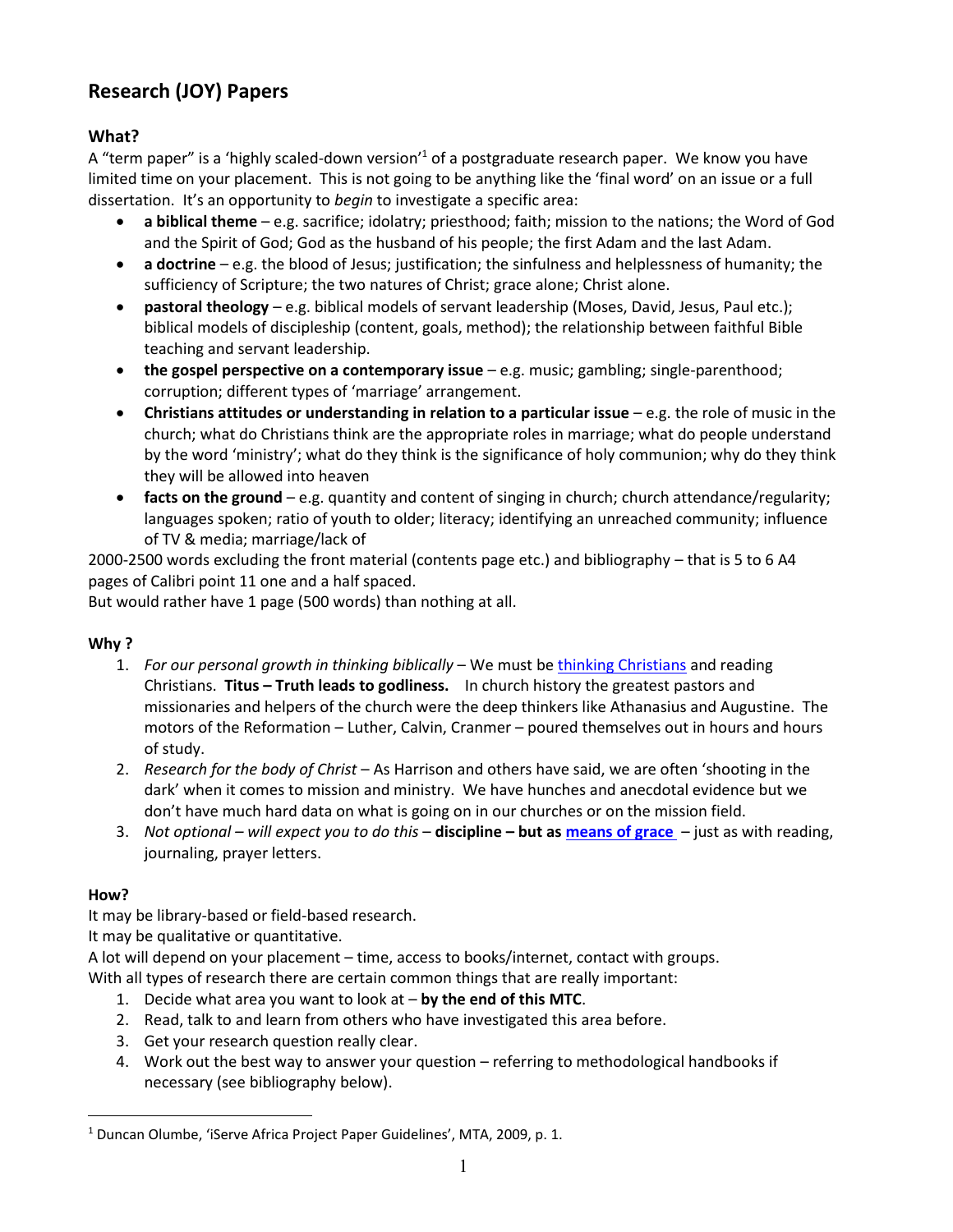# **Research (JOY) Papers**

# **What?**

A "term paper" is a 'highly scaled-down version'<sup>1</sup> of a postgraduate research paper. We know you have limited time on your placement. This is not going to be anything like the 'final word' on an issue or a full dissertation. It's an opportunity to *begin* to investigate a specific area:

- **a biblical theme** e.g. sacrifice; idolatry; priesthood; faith; mission to the nations; the Word of God and the Spirit of God; God as the husband of his people; the first Adam and the last Adam.
- **a doctrine** e.g. the blood of Jesus; justification; the sinfulness and helplessness of humanity; the sufficiency of Scripture; the two natures of Christ; grace alone; Christ alone.
- **pastoral theology** e.g. biblical models of servant leadership (Moses, David, Jesus, Paul etc.); biblical models of discipleship (content, goals, method); the relationship between faithful Bible teaching and servant leadership.
- **the gospel perspective on a contemporary issue** e.g. music; gambling; single-parenthood; corruption; different types of 'marriage' arrangement.
- **Christians attitudes or understanding in relation to a particular issue** e.g. the role of music in the church; what do Christians think are the appropriate roles in marriage; what do people understand by the word 'ministry'; what do they think is the significance of holy communion; why do they think they will be allowed into heaven
- **facts on the ground** e.g. quantity and content of singing in church; church attendance/regularity; languages spoken; ratio of youth to older; literacy; identifying an unreached community; influence of TV & media; marriage/lack of

2000-2500 words excluding the front material (contents page etc.) and bibliography – that is 5 to 6 A4 pages of Calibri point 11 one and a half spaced.

But would rather have 1 page (500 words) than nothing at all.

# **Why ?**

- 1. *For our personal growth in thinking biblically* We must b[e thinking Christians](http://watumishiwaneno.wordpress.com/2011/11/28/be-thinking/) and reading Christians. **Titus – Truth leads to godliness.** In church history the greatest pastors and missionaries and helpers of the church were the deep thinkers like Athanasius and Augustine. The motors of the Reformation – Luther, Calvin, Cranmer – poured themselves out in hours and hours of study.
- 2. *Research for the body of Christ*  As Harrison and others have said, we are often 'shooting in the dark' when it comes to mission and ministry. We have hunches and anecdotal evidence but we don't have much hard data on what is going on in our churches or on the mission field.
- 3. *Not optional – will expect you to do this*  **discipline – but as [means of grace](http://watumishiwaneno.wordpress.com/2013/04/26/spiritual-disciplines-stairs-or-windows/)** just as with reading, journaling, prayer letters.

#### **How?**

 $\overline{a}$ 

It may be library-based or field-based research.

It may be qualitative or quantitative.

A lot will depend on your placement – time, access to books/internet, contact with groups.

With all types of research there are certain common things that are really important:

- 1. Decide what area you want to look at **by the end of this MTC**.
- 2. Read, talk to and learn from others who have investigated this area before.
- 3. Get your research question really clear.
- 4. Work out the best way to answer your question referring to methodological handbooks if necessary (see bibliography below).

<sup>&</sup>lt;sup>1</sup> Duncan Olumbe, 'iServe Africa Project Paper Guidelines', MTA, 2009, p. 1.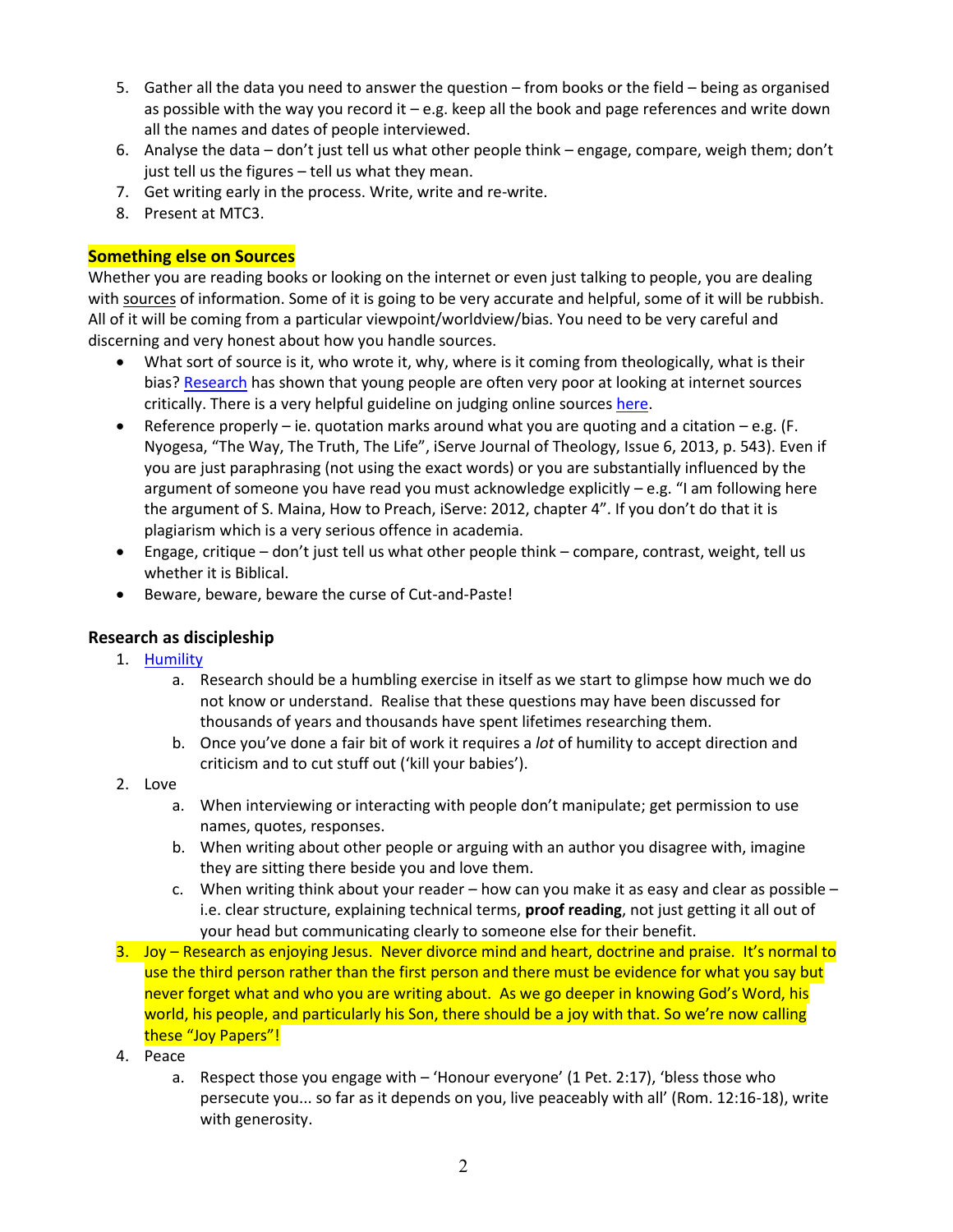- 5. Gather all the data you need to answer the question from books or the field being as organised as possible with the way you record it – e.g. keep all the book and page references and write down all the names and dates of people interviewed.
- 6. Analyse the data don't just tell us what other people think engage, compare, weigh them; don't just tell us the figures – tell us what they mean.
- 7. Get writing early in the process. Write, write and re-write.
- 8. Present at MTC3.

### **Something else on Sources**

Whether you are reading books or looking on the internet or even just talking to people, you are dealing with sources of information. Some of it is going to be very accurate and helpful, some of it will be rubbish. All of it will be coming from a particular viewpoint/worldview/bias. You need to be very careful and discerning and very honest about how you handle sources.

- What sort of source is it, who wrote it, why, where is it coming from theologically, what is their bias? [Research](http://www.demos.co.uk/files/Truth_-_web.pdf) has shown that young people are often very poor at looking at internet sources critically. There is a very helpful guideline on judging online sources [here.](http://lgdata.s3-website-us-east-1.amazonaws.com/docs/366/689438/easybib_website_credibility.pdf)
- Reference properly ie. quotation marks around what you are quoting and a citation e.g. (F. Nyogesa, "The Way, The Truth, The Life", iServe Journal of Theology, Issue 6, 2013, p. 543). Even if you are just paraphrasing (not using the exact words) or you are substantially influenced by the argument of someone you have read you must acknowledge explicitly – e.g. "I am following here the argument of S. Maina, How to Preach, iServe: 2012, chapter 4". If you don't do that it is plagiarism which is a very serious offence in academia.
- Engage, critique don't just tell us what other people think compare, contrast, weight, tell us whether it is Biblical.
- Beware, beware, beware the curse of Cut-and-Paste!

# **Research as discipleship**

- 1. Humility
	- a. Research should be a humbling exercise in itself as we start to glimpse how much we do not know or understand. Realise that these questions may have been discussed for thousands of years and thousands have spent lifetimes researching them.
	- b. Once you've done a fair bit of work it requires a *lot* of humility to accept direction and criticism and to cut stuff out ('kill your babies').
- 2. Love
	- a. When interviewing or interacting with people don't manipulate; get permission to use names, quotes, responses.
	- b. When writing about other people or arguing with an author you disagree with, imagine they are sitting there beside you and love them.
	- c. When writing think about your reader how can you make it as easy and clear as possible i.e. clear structure, explaining technical terms, **proof reading**, not just getting it all out of your head but communicating clearly to someone else for their benefit.
- 3. Joy Research as enjoying Jesus. Never divorce mind and heart, doctrine and praise. It's normal to use the third person rather than the first person and there must be evidence for what you say but never forget what and who you are writing about. As we go deeper in knowing God's Word, his world, his people, and particularly his Son, there should be a joy with that. So we're now calling these "Joy Papers"!
- 4. Peace
	- a. Respect those you engage with 'Honour everyone' (1 Pet. 2:17), 'bless those who persecute you... so far as it depends on you, live peaceably with all' (Rom. 12:16-18), write with generosity.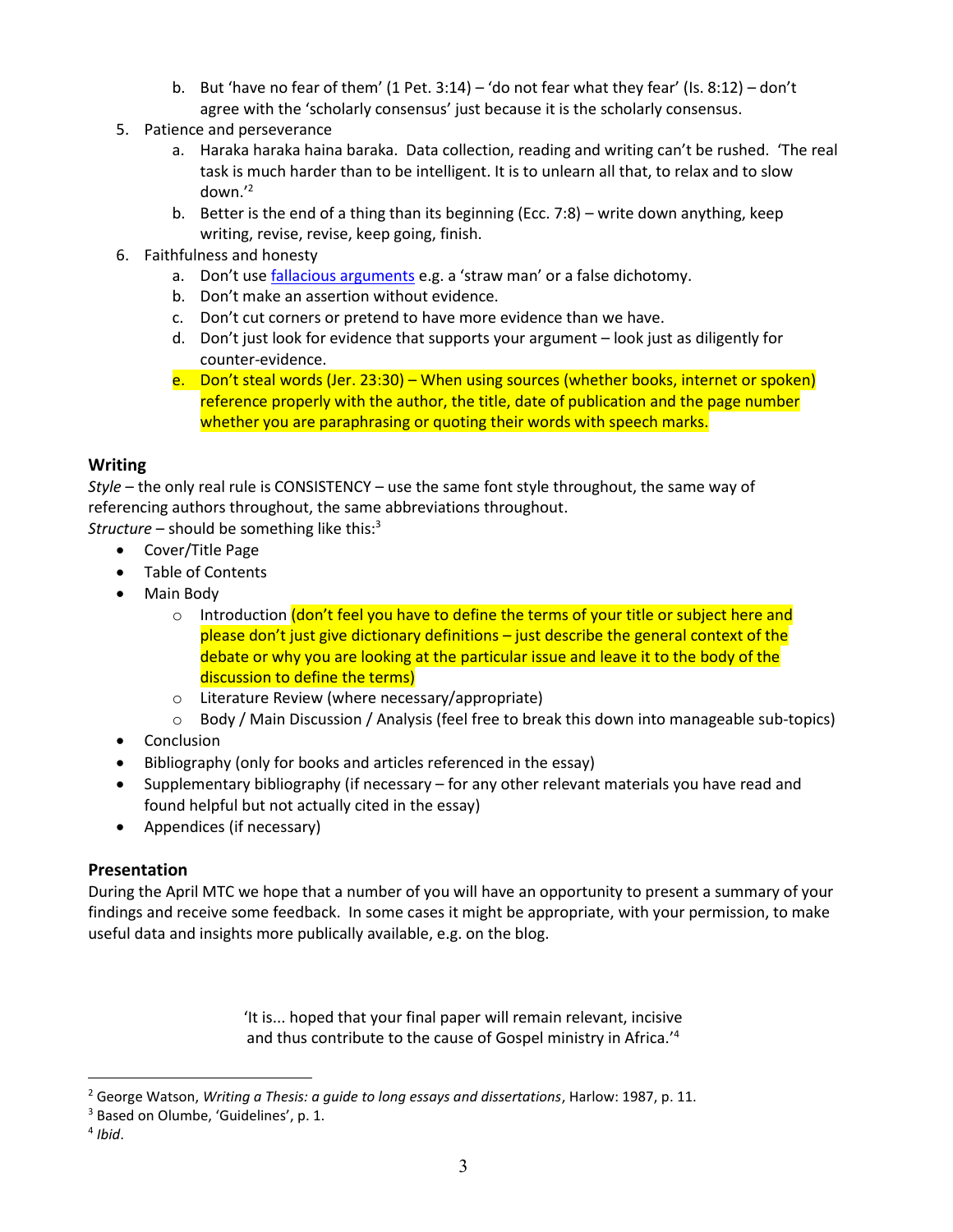- b. But 'have no fear of them' (1 Pet. 3:14) 'do not fear what they fear' (Is. 8:12) don't agree with the 'scholarly consensus' just because it is the scholarly consensus.
- 5. Patience and perseverance
	- a. Haraka haraka haina baraka. Data collection, reading and writing can't be rushed. 'The real task is much harder than to be intelligent. It is to unlearn all that, to relax and to slow down.'<sup>2</sup>
	- b. Better is the end of a thing than its beginning (Ecc. 7:8) write down anything, keep writing, revise, revise, keep going, finish.
- 6. Faithfulness and honesty
	- a. Don't use [fallacious arguments](http://www.bethinking.org/what-is-apologetics/logic-and-fallacies-thinking-clearly.htm) e.g. a 'straw man' or a false dichotomy.
	- b. Don't make an assertion without evidence.
	- c. Don't cut corners or pretend to have more evidence than we have.
	- d. Don't just look for evidence that supports your argument look just as diligently for counter-evidence.
	- e. Don't steal words (Jer. 23:30) When using sources (whether books, internet or spoken) reference properly with the author, the title, date of publication and the page number whether you are paraphrasing or quoting their words with speech marks.

#### **Writing**

*Style* – the only real rule is CONSISTENCY – use the same font style throughout, the same way of referencing authors throughout, the same abbreviations throughout. *Structure* – should be something like this: 3

- Cover/Title Page
- Table of Contents
- Main Body
	- $\circ$  Introduction (don't feel you have to define the terms of your title or subject here and please don't just give dictionary definitions – just describe the general context of the debate or why you are looking at the particular issue and leave it to the body of the discussion to define the terms)
	- o Literature Review (where necessary/appropriate)
	- $\circ$  Body / Main Discussion / Analysis (feel free to break this down into manageable sub-topics)
- Conclusion
- Bibliography (only for books and articles referenced in the essay)
- Supplementary bibliography (if necessary for any other relevant materials you have read and found helpful but not actually cited in the essay)
- Appendices (if necessary)

#### **Presentation**

During the April MTC we hope that a number of you will have an opportunity to present a summary of your findings and receive some feedback. In some cases it might be appropriate, with your permission, to make useful data and insights more publically available, e.g. on the blog.

> 'It is... hoped that your final paper will remain relevant, incisive and thus contribute to the cause of Gospel ministry in Africa.' 4

 $\overline{a}$ 

<sup>2</sup> George Watson, *Writing a Thesis: a guide to long essays and dissertations*, Harlow: 1987, p. 11.

<sup>&</sup>lt;sup>3</sup> Based on Olumbe, 'Guidelines', p. 1.

<sup>4</sup> *Ibid*.